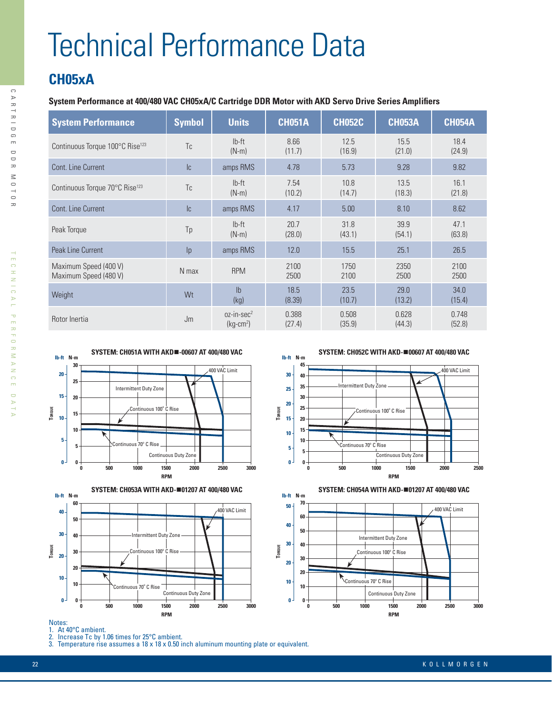# Technical Performance Data

## **CH05xA**

### **System Performance at 400/480 VAC CH05xA/C Cartridge DDR Motor with AKD Servo Drive Series Amplifiers**

| <b>System Performance</b>                      | <b>Symbol</b>  | <b>Units</b>                       | <b>CH051A</b>   | <b>CH052C</b>   | <b>CH053A</b>   | <b>CH054A</b>   |
|------------------------------------------------|----------------|------------------------------------|-----------------|-----------------|-----------------|-----------------|
| Continuous Torque 100°C Rise <sup>123</sup>    | T <sub>c</sub> | $Ib-ft$<br>$(N-m)$                 | 8.66<br>(11.7)  | 12.5<br>(16.9)  | 15.5<br>(21.0)  | 18.4<br>(24.9)  |
| Cont. Line Current                             | Ic             | amps RMS                           | 4.78            | 5.73            | 9.28            | 9.82            |
| Continuous Torque 70°C Rise <sup>123</sup>     | Tc.            | $Ib-ft$<br>$(N-m)$                 | 7.54<br>(10.2)  | 10.8<br>(14.7)  | 13.5<br>(18.3)  | 16.1<br>(21.8)  |
| Cont. Line Current                             | lc.            | amps RMS                           | 4.17            | 5.00            | 8.10            | 8.62            |
| Peak Torque                                    | Tp             | $Ib-ft$<br>$(N-m)$                 | 20.7<br>(28.0)  | 31.8<br>(43.1)  | 39.9<br>(54.1)  | 47.1<br>(63.8)  |
| Peak Line Current                              | p              | amps RMS                           | 12.0            | 15.5            | 25.1            | 26.5            |
| Maximum Speed (400 V)<br>Maximum Speed (480 V) | N max          | <b>RPM</b>                         | 2100<br>2500    | 1750<br>2100    | 2350<br>2500    | 2100<br>2500    |
| Weight                                         | Wt             | I <sub>b</sub><br>(kg)             | 18.5<br>(8.39)  | 23.5<br>(10.7)  | 29.0<br>(13.2)  | 34.0<br>(15.4)  |
| Rotor Inertia                                  | Jm             | $oz-in\text{-}sec^2$<br>$(kg-cm2)$ | 0.388<br>(27.4) | 0.508<br>(35.9) | 0.628<br>(44.3) | 0.748<br>(52.8) |





**SYSTEM: CH052C WITH AKD-**n**00607 AT 400/480 VAC**





#### Notes:

- 1. At 40°C ambient.
- 2. Increase Tc by 1.06 times for 25°C ambient.

3. Temperature rise assumes a 18 x 18 x 0.50 inch aluminum mounting plate or equivalent.

 $\overline{\triangleright}$